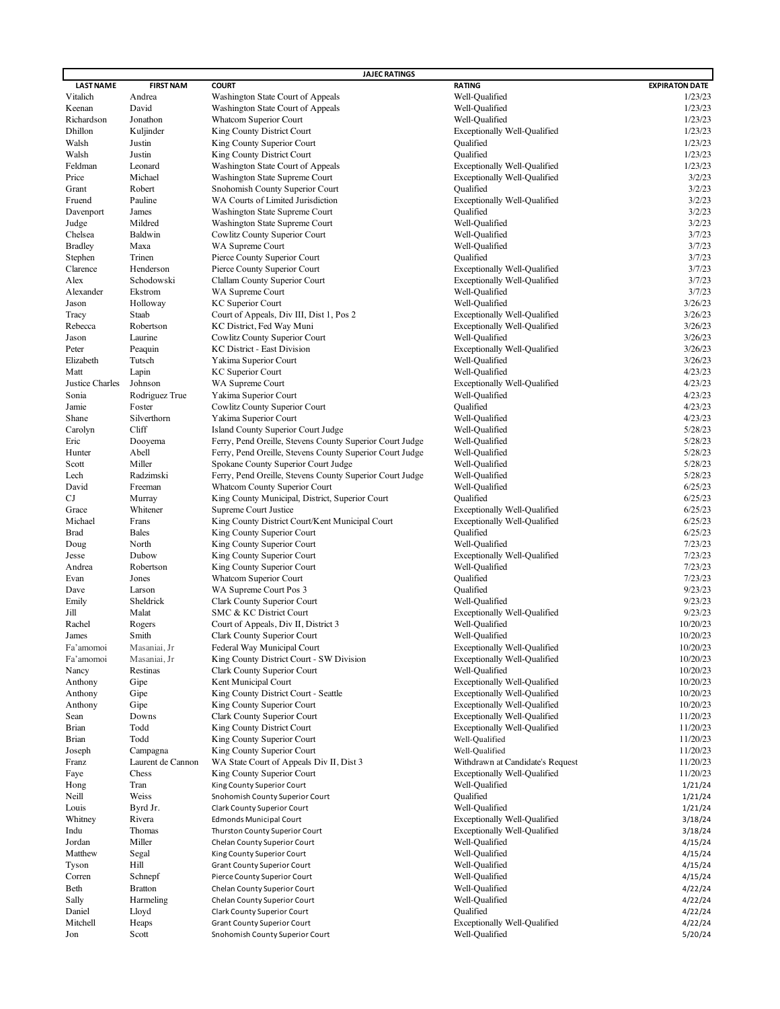|                        |                              | <b>JAJEC RATINGS</b>                                     |                                     |                       |
|------------------------|------------------------------|----------------------------------------------------------|-------------------------------------|-----------------------|
| <b>LAST NAME</b>       | <b>FIRST NAM</b>             | <b>COURT</b>                                             | <b>RATING</b>                       | <b>EXPIRATON DATE</b> |
| Vitalich               | Andrea                       | Washington State Court of Appeals                        | Well-Qualified                      | 1/23/23               |
| Keenan                 | David                        | Washington State Court of Appeals                        | Well-Qualified                      | 1/23/23               |
| Richardson             | Jonathon                     | <b>Whatcom Superior Court</b>                            | Well-Qualified                      | 1/23/23               |
| Dhillon                | Kuljinder                    | King County District Court                               | <b>Exceptionally Well-Qualified</b> | 1/23/23               |
| Walsh                  | Justin                       | King County Superior Court                               | Qualified                           | 1/23/23               |
| Walsh                  | Justin                       | King County District Court                               | Qualified                           | 1/23/23               |
| Feldman                | Leonard                      | Washington State Court of Appeals                        | <b>Exceptionally Well-Qualified</b> | 1/23/23               |
| Price                  | Michael                      | Washington State Supreme Court                           | <b>Exceptionally Well-Qualified</b> | 3/2/23                |
| Grant                  | Robert                       | Snohomish County Superior Court                          | Qualified                           | 3/2/23                |
| Fruend                 | Pauline                      | WA Courts of Limited Jurisdiction                        | <b>Exceptionally Well-Qualified</b> | 3/2/23                |
| Davenport              | James                        | Washington State Supreme Court                           | Qualified                           | 3/2/23                |
| Judge                  | Mildred                      | Washington State Supreme Court                           | Well-Qualified                      | 3/2/23                |
| Chelsea                | Baldwin                      | Cowlitz County Superior Court                            | Well-Qualified                      | 3/7/23                |
| <b>Bradley</b>         | Maxa                         | WA Supreme Court                                         | Well-Qualified                      | 3/7/23                |
| Stephen                | Trinen                       | Pierce County Superior Court                             | Qualified                           | 3/7/23                |
| Clarence               | Henderson                    | Pierce County Superior Court                             | <b>Exceptionally Well-Qualified</b> | 3/7/23                |
| Alex                   | Schodowski                   | Clallam County Superior Court                            | Exceptionally Well-Qualified        | 3/7/23                |
| Alexander              | Ekstrom                      | WA Supreme Court                                         | Well-Qualified                      | 3/7/23                |
| Jason                  | Holloway                     | <b>KC</b> Superior Court                                 | Well-Qualified                      | 3/26/23               |
| Tracy                  | Staab                        | Court of Appeals, Div III, Dist 1, Pos 2                 | <b>Exceptionally Well-Qualified</b> | 3/26/23               |
| Rebecca                | Robertson                    | KC District, Fed Way Muni                                | <b>Exceptionally Well-Qualified</b> | 3/26/23               |
| Jason                  | Laurine                      | Cowlitz County Superior Court                            | Well-Qualified                      | 3/26/23               |
| Peter                  | Peaquin                      | <b>KC District - East Division</b>                       | <b>Exceptionally Well-Qualified</b> | 3/26/23               |
| Elizabeth              | Tutsch                       |                                                          | Well-Qualified                      | 3/26/23               |
|                        |                              | Yakima Superior Court                                    |                                     | 4/23/23               |
| Matt                   | Lapin                        | <b>KC</b> Superior Court                                 | Well-Qualified                      |                       |
| Justice Charles        | Johnson                      | WA Supreme Court                                         | <b>Exceptionally Well-Qualified</b> | 4/23/23               |
| Sonia                  | Rodriguez True               | Yakima Superior Court                                    | Well-Qualified                      | 4/23/23               |
| Jamie                  | Foster                       | Cowlitz County Superior Court                            | Qualified                           | 4/23/23               |
| Shane                  | Silverthorn                  | Yakima Superior Court                                    | Well-Qualified                      | 4/23/23               |
| Carolyn                | Cliff                        | Island County Superior Court Judge                       | Well-Qualified                      | 5/28/23               |
| Eric                   | Dooyema                      | Ferry, Pend Oreille, Stevens County Superior Court Judge | Well-Qualified                      | 5/28/23               |
| Hunter                 | Abell                        | Ferry, Pend Oreille, Stevens County Superior Court Judge | Well-Qualified                      | 5/28/23               |
| Scott                  | Miller                       | Spokane County Superior Court Judge                      | Well-Qualified                      | 5/28/23               |
| Lech                   | Radzimski                    | Ferry, Pend Oreille, Stevens County Superior Court Judge | Well-Qualified                      | 5/28/23               |
| David                  | Freeman                      | Whatcom County Superior Court                            | Well-Qualified                      | 6/25/23               |
| CJ                     | Murray                       | King County Municipal, District, Superior Court          | Qualified                           | 6/25/23               |
| Grace                  | Whitener                     | Supreme Court Justice                                    | <b>Exceptionally Well-Qualified</b> | 6/25/23               |
| Michael                | Frans                        | King County District Court/Kent Municipal Court          | Exceptionally Well-Qualified        | 6/25/23               |
| <b>Brad</b>            | <b>Bales</b>                 | King County Superior Court                               | Qualified                           | 6/25/23               |
| Doug                   | North                        | King County Superior Court                               | Well-Qualified                      | 7/23/23               |
| Jesse                  | Dubow                        | King County Superior Court                               | <b>Exceptionally Well-Qualified</b> | 7/23/23               |
| Andrea                 | Robertson                    | King County Superior Court                               | Well-Qualified                      | 7/23/23               |
| Evan                   | Jones                        | Whatcom Superior Court                                   | Qualified                           | 7/23/23               |
| Dave                   | Larson                       | WA Supreme Court Pos 3                                   | Oualified                           | 9/23/23               |
| Emily                  | Sheldrick                    | Clark County Superior Court                              | Well-Qualified                      | 9/23/23               |
| Jill                   | Malat                        | SMC & KC District Court                                  | <b>Exceptionally Well-Qualified</b> | 9/23/23               |
| Rachel                 | Rogers                       | Court of Appeals, Div II, District 3                     | Well-Qualified                      | 10/20/23              |
| James                  | Smith                        | Clark County Superior Court                              | Well-Qualified                      | 10/20/23              |
|                        |                              | Federal Way Municipal Court                              | Exceptionally Well-Qualified        | 10/20/23              |
| Fa'amomoi<br>Fa'amomoi | Masaniai, Jr<br>Masaniai, Jr | King County District Court - SW Division                 | <b>Exceptionally Well-Qualified</b> | 10/20/23              |
|                        |                              |                                                          | Well-Qualified                      | 10/20/23              |
| Nancy                  | Restinas                     | Clark County Superior Court                              |                                     |                       |
| Anthony                | Gipe                         | Kent Municipal Court                                     | Exceptionally Well-Qualified        | 10/20/23              |
| Anthony                | Gipe                         | King County District Court - Seattle                     | <b>Exceptionally Well-Qualified</b> | 10/20/23              |
| Anthony                | Gipe                         | King County Superior Court                               | <b>Exceptionally Well-Qualified</b> | 10/20/23              |
| Sean                   | Downs                        | Clark County Superior Court                              | <b>Exceptionally Well-Qualified</b> | 11/20/23              |
| <b>Brian</b>           | Todd                         | King County District Court                               | <b>Exceptionally Well-Qualified</b> | 11/20/23              |
| <b>Brian</b>           | Todd                         | King County Superior Court                               | Well-Qualified                      | 11/20/23              |
| Joseph                 | Campagna                     | King County Superior Court                               | Well-Qualified                      | 11/20/23              |
| Franz                  | Laurent de Cannon            | WA State Court of Appeals Div II, Dist 3                 | Withdrawn at Candidate's Request    | 11/20/23              |
| Faye                   | Chess                        | King County Superior Court                               | <b>Exceptionally Well-Qualified</b> | 11/20/23              |
| Hong                   | Tran                         | King County Superior Court                               | Well-Qualified                      | 1/21/24               |
| Neill                  | Weiss                        | Snohomish County Superior Court                          | Qualified                           | 1/21/24               |
| Louis                  | Byrd Jr.                     | Clark County Superior Court                              | Well-Qualified                      | 1/21/24               |
| Whitney                | Rivera                       | <b>Edmonds Municipal Court</b>                           | <b>Exceptionally Well-Qualified</b> | 3/18/24               |
| Indu                   | Thomas                       | Thurston County Superior Court                           | <b>Exceptionally Well-Qualified</b> | 3/18/24               |
| Jordan                 | Miller                       | Chelan County Superior Court                             | Well-Qualified                      | 4/15/24               |
| Matthew                | Segal                        | King County Superior Court                               | Well-Qualified                      | 4/15/24               |
| Tyson                  | Hill                         | Grant County Superior Court                              | Well-Qualified                      | 4/15/24               |
| Corren                 | Schnepf                      | Pierce County Superior Court                             | Well-Qualified                      | 4/15/24               |
| Beth                   | <b>Bratton</b>               | Chelan County Superior Court                             | Well-Qualified                      | 4/22/24               |
| Sally                  | Harmeling                    | Chelan County Superior Court                             | Well-Qualified                      | 4/22/24               |
| Daniel                 | Lloyd                        | Clark County Superior Court                              | Qualified                           | 4/22/24               |
| Mitchell               |                              |                                                          |                                     |                       |
|                        | Heaps                        | Grant County Superior Court                              | <b>Exceptionally Well-Qualified</b> | 4/22/24               |
| Jon                    | Scott                        | Snohomish County Superior Court                          | Well-Qualified                      | 5/20/24               |